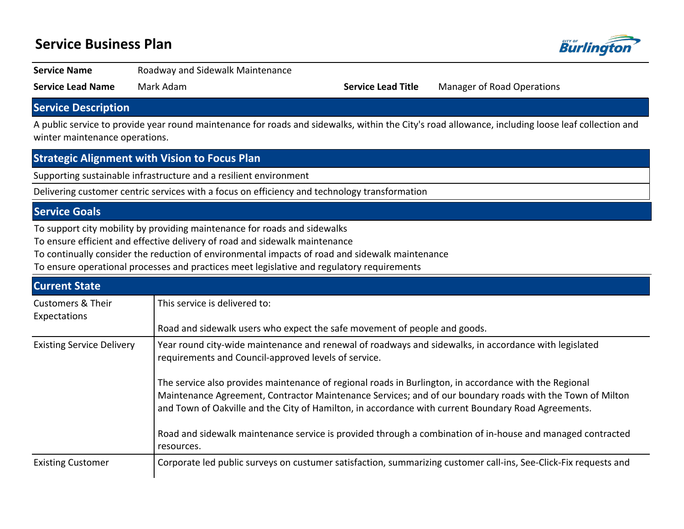# **Service Business Plan**



#### Service Name **Roadway and Sidewalk Maintenance**

**Service Lead Name** Mark Adam **Service Lead Title** Manager of Road Operations

### **Service Description**

A public service to provide year round maintenance for roads and sidewalks, within the City's road allowance, including loose leaf collection and winter maintenance operations.

### **Strategic Alignment with Vision to Focus Plan**

Supporting sustainable infrastructure and a resilient environment

Delivering customer centric services with a focus on efficiency and technology transformation

### **Service Goals**

To support city mobility by providing maintenance for roads and sidewalks

To ensure efficient and effective delivery of road and sidewalk maintenance

To continually consider the reduction of environmental impacts of road and sidewalk maintenance

To ensure operational processes and practices meet legislative and regulatory requirements

| <b>Current State</b>                         |                                                                                                                                                                                                                                                                                                                            |  |  |  |  |  |  |
|----------------------------------------------|----------------------------------------------------------------------------------------------------------------------------------------------------------------------------------------------------------------------------------------------------------------------------------------------------------------------------|--|--|--|--|--|--|
| <b>Customers &amp; Their</b><br>Expectations | This service is delivered to:                                                                                                                                                                                                                                                                                              |  |  |  |  |  |  |
|                                              | Road and sidewalk users who expect the safe movement of people and goods.                                                                                                                                                                                                                                                  |  |  |  |  |  |  |
| <b>Existing Service Delivery</b>             | Year round city-wide maintenance and renewal of roadways and sidewalks, in accordance with legislated<br>requirements and Council-approved levels of service.                                                                                                                                                              |  |  |  |  |  |  |
|                                              | The service also provides maintenance of regional roads in Burlington, in accordance with the Regional<br>Maintenance Agreement, Contractor Maintenance Services; and of our boundary roads with the Town of Milton<br>and Town of Oakville and the City of Hamilton, in accordance with current Boundary Road Agreements. |  |  |  |  |  |  |
|                                              | Road and sidewalk maintenance service is provided through a combination of in-house and managed contracted<br>resources.                                                                                                                                                                                                   |  |  |  |  |  |  |
| <b>Existing Customer</b>                     | Corporate led public surveys on custumer satisfaction, summarizing customer call-ins, See-Click-Fix requests and                                                                                                                                                                                                           |  |  |  |  |  |  |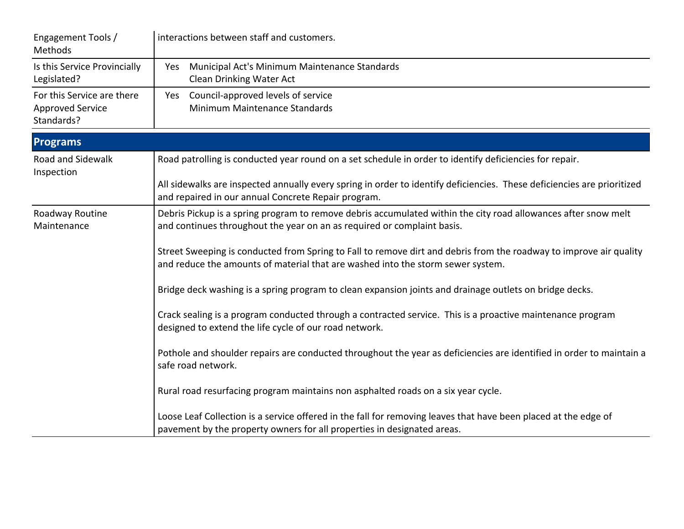| Engagement Tools /<br>Methods                                       | interactions between staff and customers.                                                                                                                                                             |  |  |  |  |
|---------------------------------------------------------------------|-------------------------------------------------------------------------------------------------------------------------------------------------------------------------------------------------------|--|--|--|--|
| Is this Service Provincially<br>Legislated?                         | Municipal Act's Minimum Maintenance Standards<br>Yes<br>Clean Drinking Water Act                                                                                                                      |  |  |  |  |
| For this Service are there<br><b>Approved Service</b><br>Standards? | Yes Council-approved levels of service<br>Minimum Maintenance Standards                                                                                                                               |  |  |  |  |
| <b>Programs</b>                                                     |                                                                                                                                                                                                       |  |  |  |  |
| <b>Road and Sidewalk</b><br>Inspection                              | Road patrolling is conducted year round on a set schedule in order to identify deficiencies for repair.                                                                                               |  |  |  |  |
|                                                                     | All sidewalks are inspected annually every spring in order to identify deficiencies. These deficiencies are prioritized<br>and repaired in our annual Concrete Repair program.                        |  |  |  |  |
| Roadway Routine<br>Maintenance                                      | Debris Pickup is a spring program to remove debris accumulated within the city road allowances after snow melt<br>and continues throughout the year on an as required or complaint basis.             |  |  |  |  |
|                                                                     | Street Sweeping is conducted from Spring to Fall to remove dirt and debris from the roadway to improve air quality<br>and reduce the amounts of material that are washed into the storm sewer system. |  |  |  |  |
|                                                                     | Bridge deck washing is a spring program to clean expansion joints and drainage outlets on bridge decks.                                                                                               |  |  |  |  |
|                                                                     | Crack sealing is a program conducted through a contracted service. This is a proactive maintenance program<br>designed to extend the life cycle of our road network.                                  |  |  |  |  |
|                                                                     | Pothole and shoulder repairs are conducted throughout the year as deficiencies are identified in order to maintain a<br>safe road network.                                                            |  |  |  |  |
|                                                                     | Rural road resurfacing program maintains non asphalted roads on a six year cycle.                                                                                                                     |  |  |  |  |
|                                                                     | Loose Leaf Collection is a service offered in the fall for removing leaves that have been placed at the edge of<br>pavement by the property owners for all properties in designated areas.            |  |  |  |  |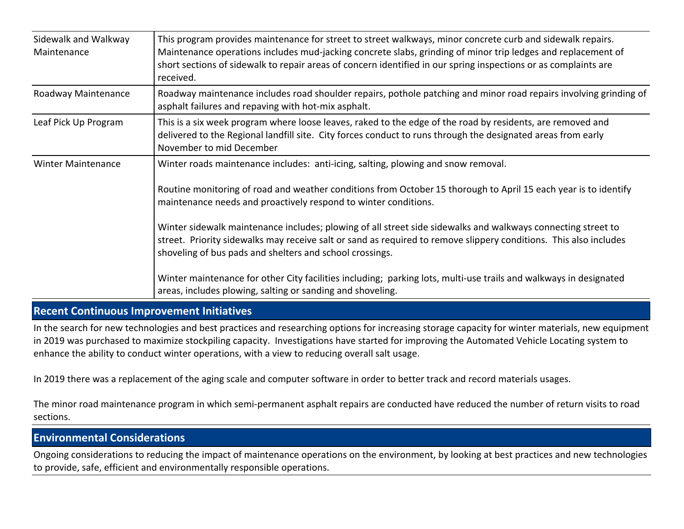| Sidewalk and Walkway<br>Maintenance | This program provides maintenance for street to street walkways, minor concrete curb and sidewalk repairs.<br>Maintenance operations includes mud-jacking concrete slabs, grinding of minor trip ledges and replacement of<br>short sections of sidewalk to repair areas of concern identified in our spring inspections or as complaints are<br>received.                                                                                                                                                                                                                                                                                                                                                                                                  |
|-------------------------------------|-------------------------------------------------------------------------------------------------------------------------------------------------------------------------------------------------------------------------------------------------------------------------------------------------------------------------------------------------------------------------------------------------------------------------------------------------------------------------------------------------------------------------------------------------------------------------------------------------------------------------------------------------------------------------------------------------------------------------------------------------------------|
| Roadway Maintenance                 | Roadway maintenance includes road shoulder repairs, pothole patching and minor road repairs involving grinding of<br>asphalt failures and repaving with hot-mix asphalt.                                                                                                                                                                                                                                                                                                                                                                                                                                                                                                                                                                                    |
| Leaf Pick Up Program                | This is a six week program where loose leaves, raked to the edge of the road by residents, are removed and<br>delivered to the Regional landfill site. City forces conduct to runs through the designated areas from early<br>November to mid December                                                                                                                                                                                                                                                                                                                                                                                                                                                                                                      |
| <b>Winter Maintenance</b>           | Winter roads maintenance includes: anti-icing, salting, plowing and snow removal.<br>Routine monitoring of road and weather conditions from October 15 thorough to April 15 each year is to identify<br>maintenance needs and proactively respond to winter conditions.<br>Winter sidewalk maintenance includes; plowing of all street side sidewalks and walkways connecting street to<br>street. Priority sidewalks may receive salt or sand as required to remove slippery conditions. This also includes<br>shoveling of bus pads and shelters and school crossings.<br>Winter maintenance for other City facilities including; parking lots, multi-use trails and walkways in designated<br>areas, includes plowing, salting or sanding and shoveling. |

## **Recent Continuous Improvement Initiatives**

In the search for new technologies and best practices and researching options for increasing storage capacity for winter materials, new equipment in 2019 was purchased to maximize stockpiling capacity. Investigations have started for improving the Automated Vehicle Locating system to enhance the ability to conduct winter operations, with a view to reducing overall salt usage.

In 2019 there was a replacement of the aging scale and computer software in order to better track and record materials usages.

The minor road maintenance program in which semi-permanent asphalt repairs are conducted have reduced the number of return visits to road sections.

## **Environmental Considerations**

Ongoing considerations to reducing the impact of maintenance operations on the environment, by looking at best practices and new technologies to provide, safe, efficient and environmentally responsible operations.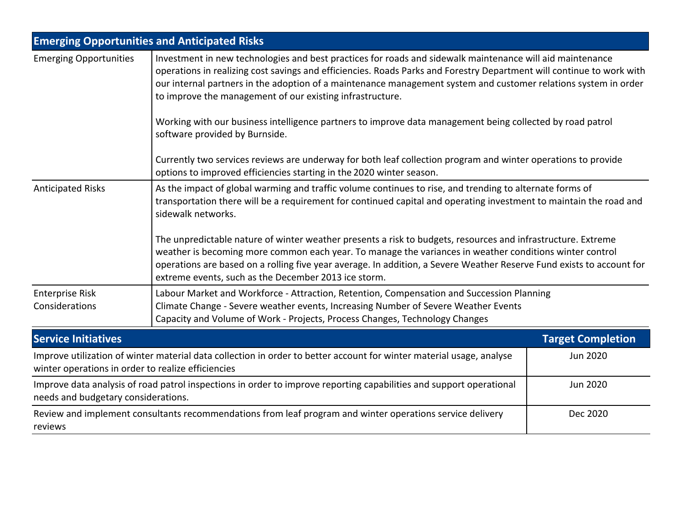|                                                    | <b>Emerging Opportunities and Anticipated Risks</b>                                                                                                                                                                                                                                                                                                                                                                |                                                                                                           |  |  |  |  |  |
|----------------------------------------------------|--------------------------------------------------------------------------------------------------------------------------------------------------------------------------------------------------------------------------------------------------------------------------------------------------------------------------------------------------------------------------------------------------------------------|-----------------------------------------------------------------------------------------------------------|--|--|--|--|--|
| <b>Emerging Opportunities</b>                      | Investment in new technologies and best practices for roads and sidewalk maintenance will aid maintenance<br>operations in realizing cost savings and efficiencies. Roads Parks and Forestry Department will continue to work with<br>our internal partners in the adoption of a maintenance management system and customer relations system in order<br>to improve the management of our existing infrastructure. |                                                                                                           |  |  |  |  |  |
|                                                    | software provided by Burnside.                                                                                                                                                                                                                                                                                                                                                                                     | Working with our business intelligence partners to improve data management being collected by road patrol |  |  |  |  |  |
|                                                    | Currently two services reviews are underway for both leaf collection program and winter operations to provide<br>options to improved efficiencies starting in the 2020 winter season.                                                                                                                                                                                                                              |                                                                                                           |  |  |  |  |  |
| <b>Anticipated Risks</b>                           | As the impact of global warming and traffic volume continues to rise, and trending to alternate forms of<br>transportation there will be a requirement for continued capital and operating investment to maintain the road and<br>sidewalk networks.                                                                                                                                                               |                                                                                                           |  |  |  |  |  |
|                                                    | The unpredictable nature of winter weather presents a risk to budgets, resources and infrastructure. Extreme<br>weather is becoming more common each year. To manage the variances in weather conditions winter control<br>operations are based on a rolling five year average. In addition, a Severe Weather Reserve Fund exists to account for<br>extreme events, such as the December 2013 ice storm.           |                                                                                                           |  |  |  |  |  |
| <b>Enterprise Risk</b><br>Considerations           | Labour Market and Workforce - Attraction, Retention, Compensation and Succession Planning<br>Climate Change - Severe weather events, Increasing Number of Severe Weather Events<br>Capacity and Volume of Work - Projects, Process Changes, Technology Changes                                                                                                                                                     |                                                                                                           |  |  |  |  |  |
| <b>Service Initiatives</b>                         |                                                                                                                                                                                                                                                                                                                                                                                                                    | <b>Target Completion</b>                                                                                  |  |  |  |  |  |
| winter operations in order to realize efficiencies | Improve utilization of winter material data collection in order to better account for winter material usage, analyse                                                                                                                                                                                                                                                                                               | <b>Jun 2020</b>                                                                                           |  |  |  |  |  |
| needs and budgetary considerations.                | Improve data analysis of road patrol inspections in order to improve reporting capabilities and support operational                                                                                                                                                                                                                                                                                                | Jun 2020                                                                                                  |  |  |  |  |  |
| reviews                                            | Review and implement consultants recommendations from leaf program and winter operations service delivery<br>Dec 2020                                                                                                                                                                                                                                                                                              |                                                                                                           |  |  |  |  |  |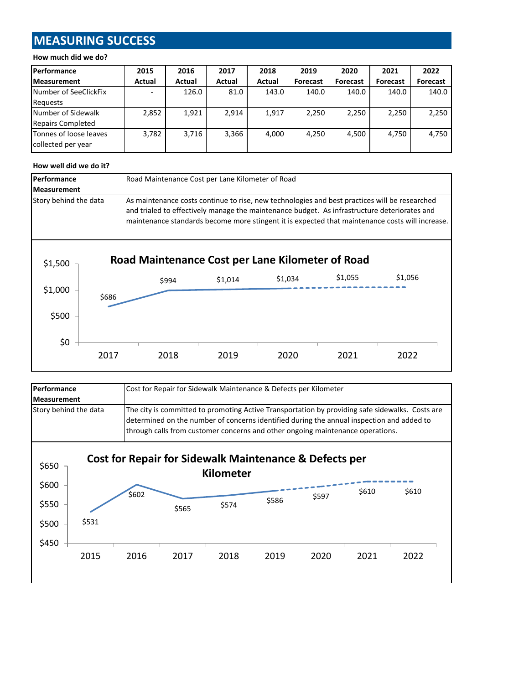# **MEASURING SUCCESS**

#### **How much did we do?**

| Performance                                  | 2015          | 2016          | 2017   | 2018   | 2019     | 2020     | 2021     | 2022     |
|----------------------------------------------|---------------|---------------|--------|--------|----------|----------|----------|----------|
| <b>Measurement</b>                           | <b>Actual</b> | <b>Actual</b> | Actual | Actual | Forecast | Forecast | Forecast | Forecast |
| Number of SeeClickFix                        |               | 126.0         | 81.0   | 143.0  | 140.0    | 140.0    | 140.0    | 140.0    |
| Requests                                     |               |               |        |        |          |          |          |          |
| Number of Sidewalk                           | 2,852         | 1,921         | 2,914  | 1,917  | 2.250    | 2,250    | 2,250    | 2,250    |
| Repairs Completed                            |               |               |        |        |          |          |          |          |
| Tonnes of loose leaves<br>collected per year | 3,782         | 3,716         | 3,366  | 4.000  | 4.250    | 4.500    | 4,750    | 4,750    |

#### **How well did we do it?**

| Performance           |       | Road Maintenance Cost per Lane Kilometer of Road |                                                                                                                                                                                               |         |         |                                                                                                 |  |  |
|-----------------------|-------|--------------------------------------------------|-----------------------------------------------------------------------------------------------------------------------------------------------------------------------------------------------|---------|---------|-------------------------------------------------------------------------------------------------|--|--|
| <b>Measurement</b>    |       |                                                  |                                                                                                                                                                                               |         |         |                                                                                                 |  |  |
| Story behind the data |       |                                                  | As maintenance costs continue to rise, new technologies and best practices will be researched<br>and trialed to effectively manage the maintenance budget. As infrastructure deteriorates and |         |         | maintenance standards become more stingent it is expected that maintenance costs will increase. |  |  |
| \$1,500               |       |                                                  | Road Maintenance Cost per Lane Kilometer of Road                                                                                                                                              |         |         |                                                                                                 |  |  |
| \$1,000               | \$686 | \$994                                            | \$1,014                                                                                                                                                                                       | \$1,034 | \$1,055 | \$1,056                                                                                         |  |  |
| \$500                 |       |                                                  |                                                                                                                                                                                               |         |         |                                                                                                 |  |  |
| \$0                   | 2017  | 2018                                             | 2019                                                                                                                                                                                          | 2020    | 2021    | 2022                                                                                            |  |  |

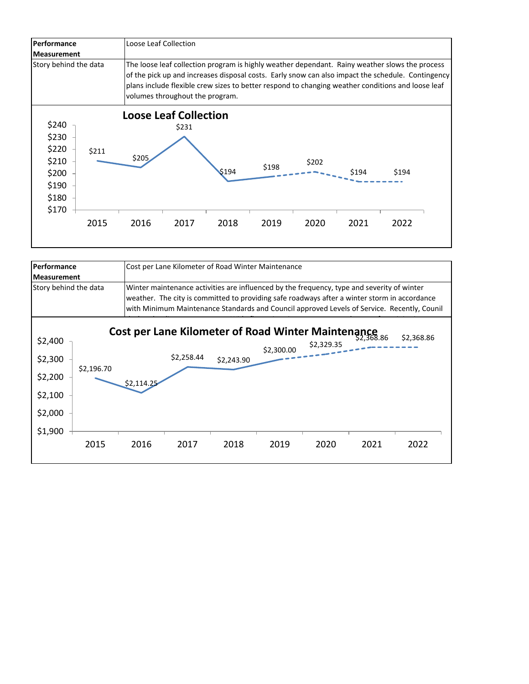

| Performance                                         |            | Cost per Lane Kilometer of Road Winter Maintenance                                                                                                                                                                                                                                        |            |                                                                  |            |            |      |            |
|-----------------------------------------------------|------------|-------------------------------------------------------------------------------------------------------------------------------------------------------------------------------------------------------------------------------------------------------------------------------------------|------------|------------------------------------------------------------------|------------|------------|------|------------|
| <b>Measurement</b>                                  |            |                                                                                                                                                                                                                                                                                           |            |                                                                  |            |            |      |            |
| Story behind the data                               |            | Winter maintenance activities are influenced by the frequency, type and severity of winter<br>weather. The city is committed to providing safe roadways after a winter storm in accordance<br>with Minimum Maintenance Standards and Council approved Levels of Service. Recently, Counil |            |                                                                  |            |            |      |            |
| \$2,400<br>\$2,300<br>\$2,200<br>\$2,100<br>\$2,000 | \$2,196.70 | \$2,114.25                                                                                                                                                                                                                                                                                | \$2,258.44 | Cost per Lane Kilometer of Road Winter Maintenance<br>\$2,243.90 | \$2,300.00 | \$2,329.35 |      | \$2,368.86 |
| \$1,900                                             | 2015       | 2016                                                                                                                                                                                                                                                                                      | 2017       | 2018                                                             | 2019       | 2020       | 2021 | 2022       |